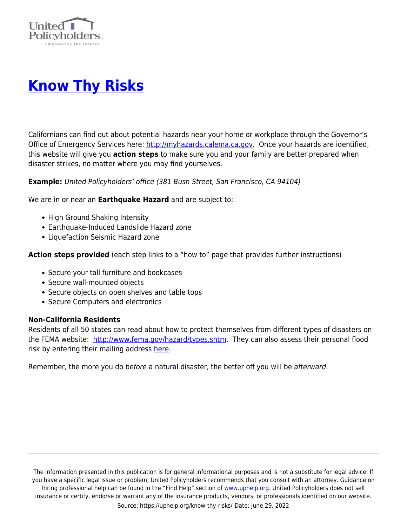

## **[Know Thy Risks](https://uphelp.org/know-thy-risks/)**

Californians can find out about potential hazards near your home or workplace through the Governor's Office of Emergency Services here: [http://myhazards.calema.ca.gov](http://myhazards.calema.ca.gov/). Once your hazards are identified, this website will give you **action steps** to make sure you and your family are better prepared when disaster strikes, no matter where you may find yourselves.

**Example:** United Policyholders' office (381 Bush Street, San Francisco, CA 94104)

We are in or near an **Earthquake Hazard** and are subject to:

- High Ground Shaking Intensity
- Earthquake-Induced Landslide Hazard zone
- Liquefaction Seismic Hazard zone

**Action steps provided** (each step links to a "how to" page that provides further instructions)

- Secure your tall furniture and bookcases
- Secure wall-mounted objects
- Secure objects on open shelves and table tops
- Secure Computers and electronics

## **Non-California Residents**

Residents of all 50 states can read about how to protect themselves from different types of disasters on the FEMA website: [http://www.fema.gov/hazard/types.shtm.](http://www.fema.gov/hazard/types.shtm) They can also assess their personal flood risk by entering their mailing address [here](https://hazards.fema.gov/femaportal/wps/portal/%21ut/p/.cmd/cs/.ce/7_0_A/.s/7_0_CM9/_s.7_0_A/7_0_CM9).

Remember, the more you do before a natural disaster, the better off you will be afterward.

The information presented in this publication is for general informational purposes and is not a substitute for legal advice. If you have a specific legal issue or problem, United Policyholders recommends that you consult with an attorney. Guidance on hiring professional help can be found in the "Find Help" section of [www.uphelp.org.](http://www.uphelp.org/) United Policyholders does not sell insurance or certify, endorse or warrant any of the insurance products, vendors, or professionals identified on our website. Source: https://uphelp.org/know-thy-risks/ Date: June 29, 2022